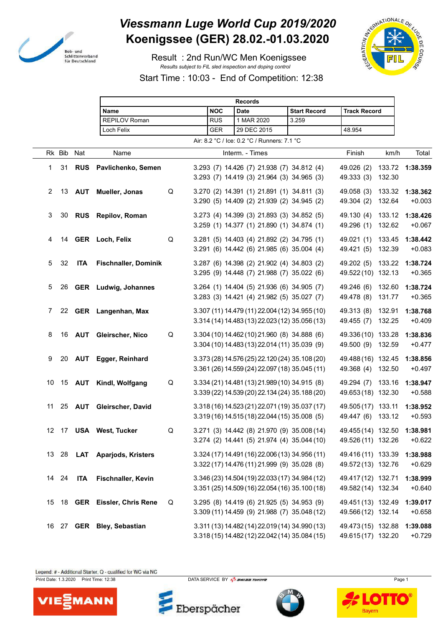

## *Viessmann Luge World Cup 2019/2020* **Koenigssee (GER) 28.02.-01.03.2020**

 Result : 2nd Run/WC Men Koenigssee *Results subject to FIL sled inspection and doping control*



Start Time : 10:03 - End of Competition: 12:38

|    |        |            |                               |             |            | <b>Records</b>                                                                                   |                     |                                                   |                  |                      |
|----|--------|------------|-------------------------------|-------------|------------|--------------------------------------------------------------------------------------------------|---------------------|---------------------------------------------------|------------------|----------------------|
|    |        |            | Name                          |             | <b>NOC</b> | <b>Date</b>                                                                                      | <b>Start Record</b> | <b>Track Record</b>                               |                  |                      |
|    |        |            | <b>REPILOV Roman</b>          |             | <b>RUS</b> | 1 MAR 2020                                                                                       | 3.259               |                                                   |                  |                      |
|    |        |            | Loch Felix                    |             | GER        | 29 DEC 2015                                                                                      |                     | 48.954                                            |                  |                      |
|    |        |            |                               |             |            | Air: 8.2 °C / Ice: 0.2 °C / Runners: 7.1 °C                                                      |                     |                                                   |                  |                      |
|    | Rk Bib | Nat        | Name                          |             |            | Interm. - Times                                                                                  |                     | Finish                                            | km/h             | Total                |
| 1  | 31     | <b>RUS</b> | Pavlichenko, Semen            |             |            | 3.293 (7) 14.426 (7) 21.938 (7) 34.812 (4)<br>3.293 (7) 14.419 (3) 21.964 (3) 34.965 (3)         |                     | 49.026 (2)<br>49.333 (3)                          | 132.30           | 133.72 1:38.359      |
| 2  | 13     | <b>AUT</b> | Mueller, Jonas                | $\mathsf Q$ |            | 3.270 (2) 14.391 (1) 21.891 (1) 34.811 (3)<br>3.290 (5) 14.409 (2) 21.939 (2) 34.945 (2)         |                     | 49.058 (3)<br>49.304 (2)                          | 133.32<br>132.64 | 1:38.362<br>$+0.003$ |
| 3  | 30     | <b>RUS</b> | Repilov, Roman                |             |            | 3.273 (4) 14.399 (3) 21.893 (3) 34.852 (5)<br>3.259 (1) 14.377 (1) 21.890 (1) 34.874 (1)         |                     | 49.130 (4)<br>49.296 (1)                          | 133.12<br>132.62 | 1:38.426<br>$+0.067$ |
| 4  |        |            | 14 GER Loch, Felix            | $\mathsf Q$ |            | 3.281 (5) 14.403 (4) 21.892 (2) 34.795 (1)<br>3.291 (6) 14.442 (6) 21.985 (6) 35.004 (4)         |                     | 49.021 (1)<br>49.421 (5)                          | 133.45<br>132.39 | 1:38.442<br>$+0.083$ |
| 5  | 32     | <b>ITA</b> | <b>Fischnaller, Dominik</b>   |             |            | 3.287 (6) 14.398 (2) 21.902 (4) 34.803 (2)<br>3.295 (9) 14.448 (7) 21.988 (7) 35.022 (6)         |                     | 49.202 (5)<br>49.522 (10) 132.13                  | 133.22           | 1:38.724<br>$+0.365$ |
| 5  | 26     |            | <b>GER</b> Ludwig, Johannes   |             |            | 3.264 (1) 14.404 (5) 21.936 (6) 34.905 (7)<br>3.283 (3) 14.421 (4) 21.982 (5) 35.027 (7)         |                     | 49.246 (6)<br>49.478 (8)                          | 132.60<br>131.77 | 1:38.724<br>$+0.365$ |
| 7  |        |            | 22 GER Langenhan, Max         |             |            | 3.307 (11) 14.479 (11) 22.004 (12) 34.955 (10)<br>3.314 (14) 14.483 (13) 22.023 (12) 35.056 (13) |                     | 49.313 (8)<br>49.455 (7)                          | 132.91<br>132.25 | 1:38.768<br>$+0.409$ |
| 8  | 16     |            | <b>AUT</b> Gleirscher, Nico   | $\mathsf Q$ |            | 3.304 (10) 14.462 (10) 21.960 (8) 34.888 (6)<br>3.304 (10) 14.483 (13) 22.014 (11) 35.039 (9)    |                     | 49.336 (10) 133.28<br>49.500 (9) 132.59           |                  | 1:38.836<br>$+0.477$ |
| 9  | 20     | <b>AUT</b> | Egger, Reinhard               |             |            | 3.373 (28) 14.576 (25) 22.120 (24) 35.108 (20)<br>3.361 (26) 14.559 (24) 22.097 (18) 35.045 (11) |                     | 49.488 (16) 132.45<br>49.368 (4)                  | 132.50           | 1:38.856<br>$+0.497$ |
| 10 | 15     | <b>AUT</b> | Kindl, Wolfgang               | Q           |            | 3.334 (21) 14.481 (13) 21.989 (10) 34.915 (8)<br>3.339 (22) 14.539 (20) 22.134 (24) 35.188 (20)  |                     | 49.294 (7) 133.16<br>49.653 (18) 132.30           |                  | 1:38.947<br>$+0.588$ |
| 11 | 25     | <b>AUT</b> | Gleirscher, David             |             |            | 3.318 (16) 14.523 (21) 22.071 (19) 35.037 (17)<br>3.319 (16) 14.515 (18) 22.044 (15) 35.008 (5)  |                     | 49.505 (17) 133.11<br>49.447 (6) 133.12           |                  | 1:38.952<br>$+0.593$ |
|    |        |            | 12 17 USA West, Tucker        | Q           |            | 3.271 (3) 14.442 (8) 21.970 (9) 35.008 (14)<br>3.274 (2) 14.441 (5) 21.974 (4) 35.044 (10)       |                     | 49.455 (14) 132.50 1:38.981<br>49.526 (11) 132.26 |                  | $+0.622$             |
|    |        |            | 13 28 LAT Aparjods, Kristers  |             |            | 3.324 (17) 14.491 (16) 22.006 (13) 34.956 (11)<br>3.322 (17) 14.476 (11) 21.999 (9) 35.028 (8)   |                     | 49.416 (11) 133.39<br>49.572 (13) 132.76          |                  | 1:38.988<br>$+0.629$ |
|    | 14 24  | <b>ITA</b> | Fischnaller, Kevin            |             |            | 3.346 (23) 14.504 (19) 22.033 (17) 34.984 (12)<br>3.351 (25) 14.509 (16) 22.054 (16) 35.100 (18) |                     | 49.417 (12) 132.71<br>49.582 (14) 132.34          |                  | 1:38.999<br>$+0.640$ |
|    |        |            | 15 18 GER Eissler, Chris Rene | Q           |            | 3.295 (8) 14.419 (6) 21.925 (5) 34.953 (9)<br>3.309 (11) 14.459 (9) 21.988 (7) 35.048 (12)       |                     | 49.451 (13) 132.49<br>49.566 (12) 132.14          |                  | 1:39.017<br>$+0.658$ |
|    |        |            | 16 27 GER Bley, Sebastian     |             |            | 3.311 (13) 14.482 (14) 22.019 (14) 34.990 (13)<br>3.318 (15) 14.482 (12) 22.042 (14) 35.084 (15) |                     | 49.473 (15) 132.88<br>49.615 (17) 132.20          |                  | 1:39.088<br>$+0.729$ |

Legend: # - Additional Starter, Q - qualified for WC via NC

Print Date: 1.3.2020 Print Time: 12:38 DATA SERVICE BY  $\frac{P}{2}$  SWISS TIMING



Eberspächer